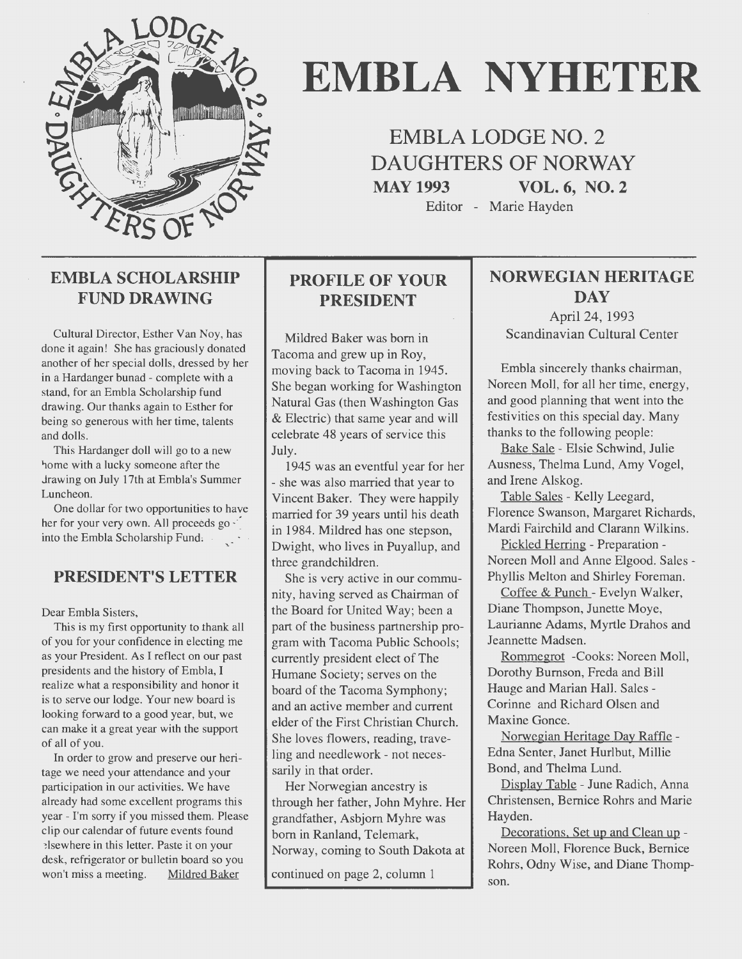

# **EMBLA NYHETER**

**EMBLA LODGE NO.** 2 **DAUGHTERS OF NORWAY MAY 1993 VOL. 6, NO. 2** 

Editor - Marie Hayden

# **EMBLA SCHOLARSHIP FUND DRAWING**

Cultural Director, Esther Van Noy, has done it again! She has graciously donated another of her special dolls, dressed by her in a Hardanger bunad - complete with a stand, for an Embla Scholarship fund drawing. Our thanks again to Esther for being so generous with her time, talents and dolls.

This Hardanger doll will go to a new 1 home with a lucky someone after the Jrawing on July 17th at Embla's Summer Luncheon.

One dollar for two opportunities to have her for your very own. All proceeds go  $\cdot$ into the Embla Scholarship Fund,

# **PRESIDENT'S LETTER**

Dear Embla Sisters,

This is my first opportunity to thank all of you for your confidence in electing me as your President. As I reflect on our past presidents and the history of Embla, I realize what a responsibility and honor it is to serve our lodge. Your new board is looking forward to a good year, but, we can make it a great year with the support of all of you.

In order to grow and preserve our heritage we need your attendance and your participation in our activities. We have already had some excellent programs this year - I'm sorry if you missed them. Please clip our calendar of future events found ~lsewhere in this letter. Paste it on your desk, refrigerator or bulletin board so you won't miss a meeting. Mildred Baker

# **PROFILE OF YOUR PRESIDENT**

Mildred Baker was bom in Tacoma and grew up in Roy, moving back to Tacoma in 1945. She began working for Washington Natural Gas (then Washington Gas & Electric) that same year and will celebrate 48 years of service this July.

1945 was an eventful year for her - she was also married that year to Vincent Baker. They were happily married for 39 years until his death in 1984. Mildred has one stepson, Dwight, who lives in Puyallup, and three grandchildren.

She is very active in our community, having served as Chairman of the Board for United Way; been a part of the business partnership program with Tacoma Public Schools; currently president elect of The Humane Society; serves on the board of the Tacoma Symphony; and an active member and current elder of the First Christian Church. She loves flowers, reading, traveling and needlework - not necessarily in that order.

Her Norwegian ancestry is through her father, John Myhre. Her grandfather, Asbjom Myhre was bom in Ranland, Telemark, Norway, coming to South Dakota at

continued on page 2, column 1

# **NORWEGIAN HERITAGE DAY**

April 24, 1993 Scandinavian Cultural Center

Embla sincerely thanks chairman, Noreen Moll, for all her time, energy, and good planning that went into the festivities on this special day. Many thanks to the following people:

Bake Sale - Elsie Schwind, Julie Ausness, Thelma Lund, Amy Vogel, and Irene Alskog.

Table Sales - Kelly Leegard, Florence Swanson, Margaret Richards, Mardi Fairchild and Clarann Wilkins.

Pickled Herring - Preparation - Noreen Moll and Anne Elgood. Sales - Phyllis Melton and Shirley Foreman.

Coffee & Punch - Evelyn Walker, Diane Thompson, Junette Moye, Laurianne Adams, Myrtle Drahos and Jeannette Madsen.

Rommegrot -Cooks: Noreen Moll, Dorothy Bumson, Freda and Bill Hauge and Marian Hall. Sales - Corinne and Richard Olsen and Maxine Gonce.

Norwegian Heritage Day Raffle - Edna Senter, Janet Hurlbut, Millie Bond, and Thelma Lund.

Display Table - June Radich, Anna Christensen, Bemice Rohrs and Marie Hayden.

Decorations. Set up and Clean up - Noreen Moll, Florence Buck, Bemice Rohrs, Odny Wise, and Diane Thompson.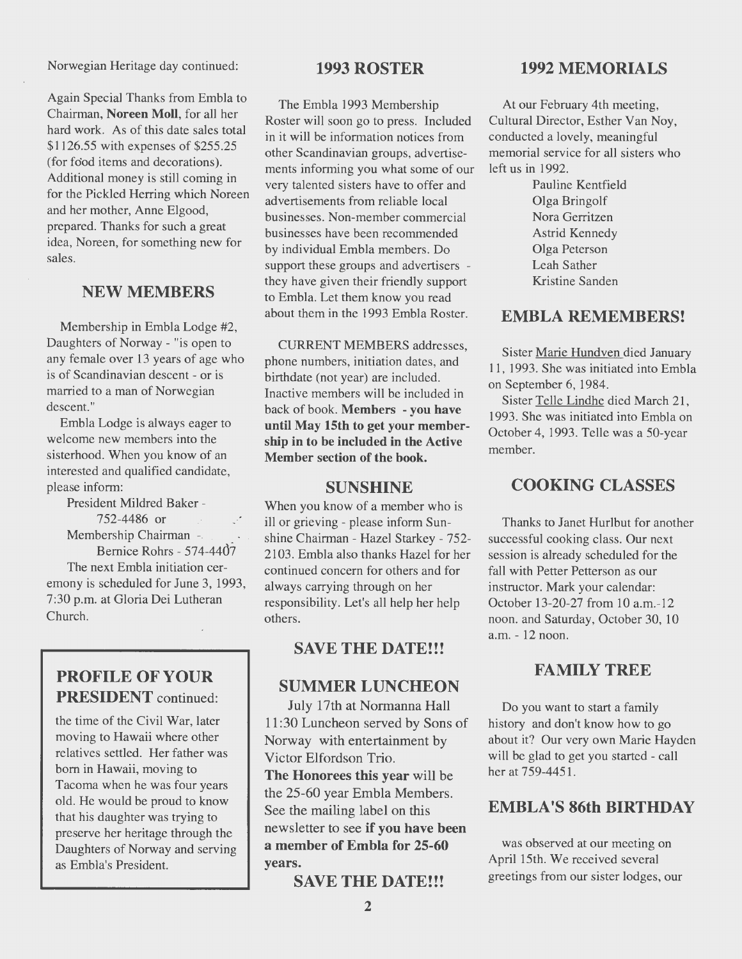Norwegian Heritage day continued:

Again Special Thanks from Embla to Chairman, Noreen Moll, for all her hard work. As of this date sales total \$1126.55 with expenses of \$255.25 (for food items and decorations). Additional money is still coming in for the Pickled Herring which Noreen and her mother, Anne Elgood, prepared. Thanks for such a great idea, Noreen, for something new for sales.

#### NEW MEMBERS

Membership in Embla Lodge #2, Daughters of Norway - "is open to any female over 13 years of age who is of Scandinavian descent - or is married to a man of Norwegian descent."

Embla Lodge is always eager to welcome new members into the sisterhood. When you know of an interested and qualified candidate, please inform:

President Mildred Baker - 752-4486 or Membership Chairman -Bemice Rohrs - 574-44d7 The next Embla initiation ceremony is scheduled for June 3, 1993, 7:30 p.m. at Gloria Dei Lutheran Church.

# PROFILE OF YOUR PRESIDENT continued:

the time of the Civil War, later moving to Hawaii where other relatives settled. Her father was bom in Hawaii, moving to Tacoma when he was four years old. He would be proud to know that his daughter was trying to preserve her heritage through the Daughters of Norway and serving as Embla's President.

#### 1993ROSTER

The Embla 1993 Membership Roster will soon go to press. Included in it will be information notices from other Scandinavian groups, advertisements informing you what some of our very talented sisters have to offer and advertisements from reliable local businesses. Non-member comrnercial businesses have been recommended by individual Embla members. Do support these groups and advertisers they have given their friendly support to Embla. Let them know you read about them in the 1993 Embla Roster.

CURRENT MEMBERS addresses, phone numbers, initiation dates, and birthdate (not year) are included. Inactive members will be included in back of book. Members - you have until May 15th to get your membership in to be included in the Active Member section of the book.

#### **SUNSHINE**

When you know of a member who is ill or grieving - please inform Sunshine Chairman - Hazel Starkey - 752- 2103. Embla also thanks Hazel for her continued concem for others and for always carrying through on her responsibility. Let's all help her help others.

# SAVE THE DATE!!!

#### SUMMER LUNCHEON

July 17th at Normanna Hall 11:30 Luncheon served by Sons of Norway with entertainment by Victor Elfordson Trio.

The Honorees this year will be the 25-60 year Embla Members. See the mailing label on this newsletter to see if you have been a member of Embla for 25-60 years.

SAVE THE DATE!!!

# 1992 MEMORIALS

At our February 4th meeting, Cultural Director, Esther Van Noy, conducted a lovely, meaningful memorial service for all sisters who left us in 1992.

> Pauline Kentfield Olga Bringolf Nora Gerritzen Astrid Kennedy Olga Peterson Leah Sather Kristine Sanden

#### EMBLA REMEMBERS!

Sister Marie Hundven died January 11, 1993. She was initiated into Embla on September 6, 1984.

Sister Telle Lindhe died March 21, 1993. She was initiated into Embla on October 4, 1993. Telle was a 50-year member.

# COOKING CLASSES

Thanks to Janet Hurlbut for another successful cooking class. Our next session is already scheduled for the fall with Petter Petterson as our instructor. Mark your calendar: October 13-20-27 from 10 a.m.-12 noon. and Saturday, October 30, 10 a.m. - 12 noon.

# **FAMILY TREE**

Do you want to start a family history and don't know how to go about it? Our very own Marie Hayden will be glad to get you started - call her at 759-4451.

# EMBLA'S 86th BIRTHDAY

was observed at our meeting on April 15th. We received several greetings from our sister lodges, our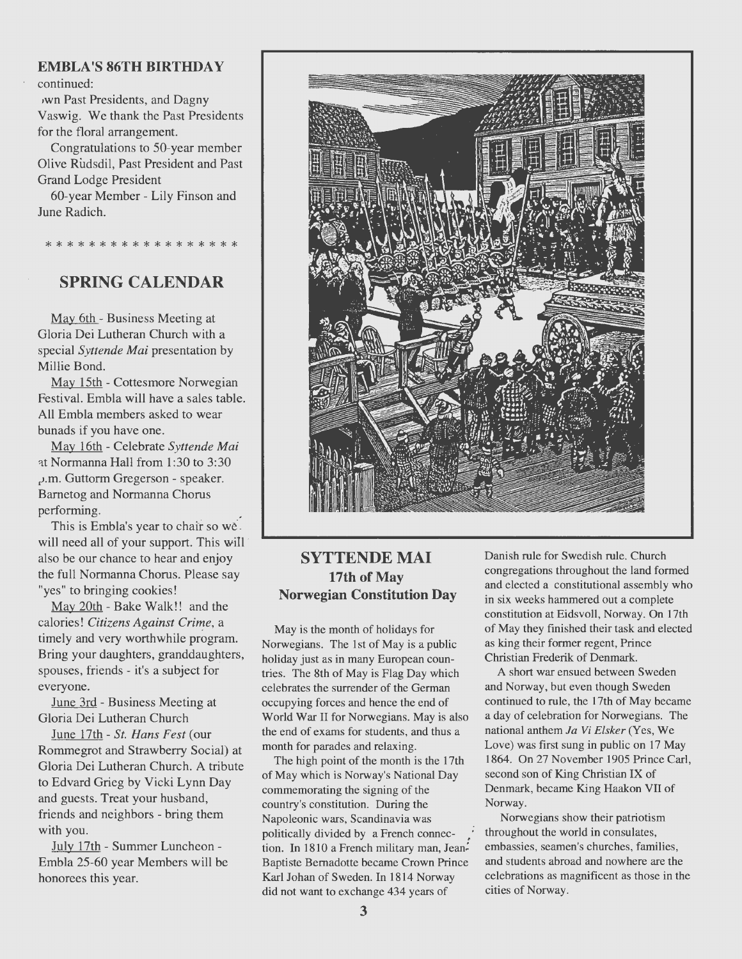#### **EMBLA 'S 86TH BIRTHDA Y**

continued:

JWn Past Presidents, and Dagny Vaswig. We thank the Past Presidents for the floral arrangement.

Congratulations to 50-year member Olive Rudsdil, Past President and Past Grand Lodge President

60-year Member - Lily Finson and June Radich.

# \*\*\*\*\*\*\*\*\*\*\*\*\*\*\*\*\*\*

# **SPRING CALENDAR**

May 6th - Business Meeting at Gloria Dei Lutheran Church with a special *Syttende Mai* presentation by Millie Bond.

May 15th - Cottesmore Norwegian Festival. Embla will have a sales table. All Embla members asked to wear bunads if you have one.

May 16th - Celebrate *Syttende Mai*  at Normanna Hall from 1:30 to 3:30 ,.i.m. Guttorm Gregerson - speaker. Barnetog and Normanna Chorus performing.

This is Embla's year to chair so we. will need all of your support. This will also be our chance to hear and enjoy the full Normanna Chorus. Please say "yes" to bringing cookies!

May 20th - Bake Walk!! and the calories! *Citizens Against Crime,* a timely and very worthwhile program. Bring your daughters, granddaughters, spouses, friends - it's a subject for everyone.

June 3rd - Business Meeting at Gloria Dei Lutheran Church

June 17th - *St. Hans Fest* (our Romrnegrot and Strawberry Social) at Gloria Dei Lutheran Church. A tribute to Edvard Grieg by Vicki Lynn Day and guests. Treat your husband, friends and neighbors - bring them with you.

July 17th - Summer Luncheon -Embla 25-60 year Members will be honorees this year.



#### **SYTTENDE MAI 17th of May Norwegian Constitution Day**

May is the month of holidays for Norwegians. The 1st of May is a public holiday just as in many European countries. The Sth of May is Flag Day which celebrates the surrender of the German occupying forces and hence the end of World War Il for Norwegians. May is also the end of exams for students, and thus a month for parades and relaxing.

The high point of the month is the 17th of May which is Norway's National Day comrnemorating the signing of the country's constitution. During the Napoleonic wars, Scandinavia was politically divided by a French connection. In 1810 a French military man, Jean-Baptiste Bernadotte became Crown Prince Karl Johan of Sweden. In 1814 Norway did not want to exchange 434 years of

Danish rule for Swedish rule. Church congregations throughout the land formed and elected a constitutional assembly who in six weeks hammered out a complete constitution at Eidsvoll, Norway. On 17th of May they finished their task and elected as king their former regent, Prince Christian Frederik of Denmark.

A short war ensued between Sweden and Norway, but even though Sweden continued to rule, the 17th of May became a day of celebration for Norwegians. The national anthem *Ja* Vi *Elsker* (Yes, We Love) was first sung in public on 17 May 1864. On 27 November 1905 Prince Carl, second son of King Christian IX of Denmark, became King Haakon VII of Norway.

Norwegians show their patriotism throughout the world in consulates, embassies, seamen's churches, families, and students abroad and nowhere are the celebrations as magnificent as those in the cities of Norway.